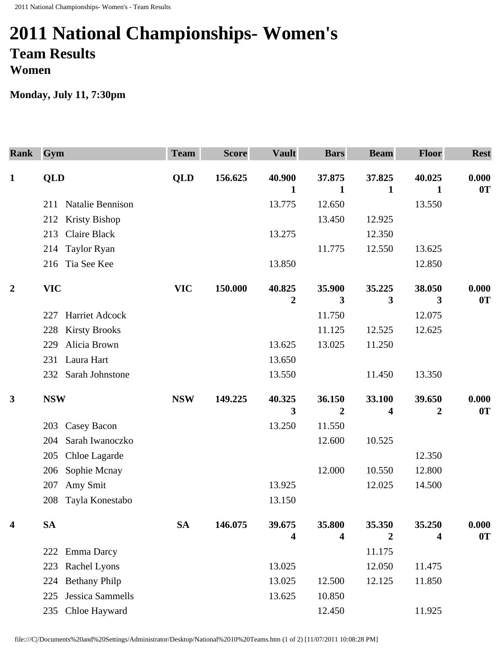## **2011 National Championships- Women's Team Results Women**

**Monday, July 11, 7:30pm** 

| <b>Rank</b>      | Gym                          | <b>Team</b> | <b>Score</b> | <b>Vault</b>     | <b>Bars</b>    | <b>Beam</b>      | <b>Floor</b>     | <b>Rest</b> |
|------------------|------------------------------|-------------|--------------|------------------|----------------|------------------|------------------|-------------|
| $\mathbf{1}$     | <b>QLD</b>                   | <b>QLD</b>  | 156.625      | 40.900           | 37.875         | 37.825           | 40.025           | 0.000       |
|                  |                              |             |              | 1                | $\mathbf 1$    | 1                | 1                | 0T          |
|                  | Natalie Bennison<br>211      |             |              | 13.775           | 12.650         |                  | 13.550           |             |
|                  | <b>Kristy Bishop</b><br>212  |             |              |                  | 13.450         | 12.925           |                  |             |
|                  | <b>Claire Black</b><br>213   |             |              | 13.275           |                | 12.350           |                  |             |
|                  | <b>Taylor Ryan</b><br>214    |             |              |                  | 11.775         | 12.550           | 13.625           |             |
|                  | Tia See Kee<br>216           |             |              | 13.850           |                |                  | 12.850           |             |
| $\boldsymbol{2}$ | <b>VIC</b>                   | <b>VIC</b>  | 150.000      | 40.825           | 35.900         | 35.225           | 38.050           | 0.000       |
|                  |                              |             |              | $\boldsymbol{2}$ | 3              | 3                | 3                | 0T          |
|                  | <b>Harriet Adcock</b><br>227 |             |              |                  | 11.750         |                  | 12.075           |             |
|                  | <b>Kirsty Brooks</b><br>228  |             |              |                  | 11.125         | 12.525           | 12.625           |             |
|                  | Alicia Brown<br>229          |             |              | 13.625           | 13.025         | 11.250           |                  |             |
|                  | Laura Hart<br>231            |             |              | 13.650           |                |                  |                  |             |
|                  | Sarah Johnstone<br>232       |             |              | 13.550           |                | 11.450           | 13.350           |             |
| $\mathbf{3}$     | <b>NSW</b>                   | <b>NSW</b>  | 149.225      | 40.325           | 36.150         | 33.100           | 39.650           | 0.000       |
|                  |                              |             |              | 3                | $\overline{2}$ | 4                | $\boldsymbol{2}$ | 0T          |
|                  | Casey Bacon<br>203           |             |              | 13.250           | 11.550         |                  |                  |             |
|                  | Sarah Iwanoczko<br>204       |             |              |                  | 12.600         | 10.525           |                  |             |
|                  | Chloe Lagarde<br>205         |             |              |                  |                |                  | 12.350           |             |
|                  | Sophie Mcnay<br>206          |             |              |                  | 12.000         | 10.550           | 12.800           |             |
|                  | Amy Smit<br>207              |             |              | 13.925           |                | 12.025           | 14.500           |             |
|                  | Tayla Konestabo<br>208       |             |              | 13.150           |                |                  |                  |             |
| 4                | <b>SA</b>                    | <b>SA</b>   | 146.075      | 39.675           | 35.800         | 35.350           | 35.250           | 0.000       |
|                  |                              |             |              | 4                | 4              | $\boldsymbol{2}$ | 4                | 0T          |
|                  | <b>Emma Darcy</b><br>222     |             |              |                  |                | 11.175           |                  |             |
|                  | Rachel Lyons<br>223          |             |              | 13.025           |                | 12.050           | 11.475           |             |
|                  | <b>Bethany Philp</b><br>224  |             |              | 13.025           | 12.500         | 12.125           | 11.850           |             |
|                  | Jessica Sammells<br>225      |             |              | 13.625           | 10.850         |                  |                  |             |
|                  | Chloe Hayward<br>235         |             |              |                  | 12.450         |                  | 11.925           |             |